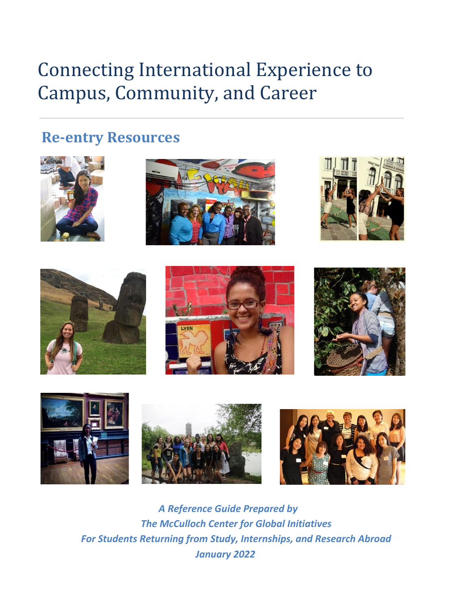# Connecting International Experience to Campus, Community, and Career

# **Re-entry Resources**



















*A Reference Guide Prepared by The McCulloch Center for Global Initiatives For Students Returning from Study, Internships, and Research Abroad January 2022*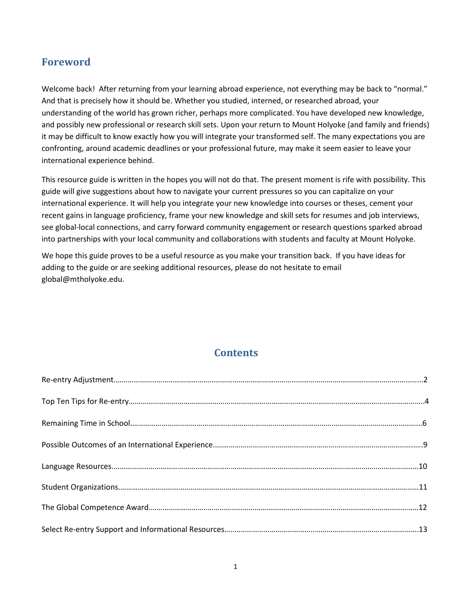# **Foreword**

Welcome back! After returning from your learning abroad experience, not everything may be back to "normal." And that is precisely how it should be. Whether you studied, interned, or researched abroad, your understanding of the world has grown richer, perhaps more complicated. You have developed new knowledge, and possibly new professional or research skill sets. Upon your return to Mount Holyoke (and family and friends) it may be difficult to know exactly how you will integrate your transformed self. The many expectations you are confronting, around academic deadlines or your professional future, may make it seem easier to leave your international experience behind.

This resource guide is written in the hopes you will not do that. The present moment is rife with possibility. This guide will give suggestions about how to navigate your current pressures so you can capitalize on your international experience. It will help you integrate your new knowledge into courses or theses, cement your recent gains in language proficiency, frame your new knowledge and skill sets for resumes and job interviews, see global-local connections, and carry forward community engagement or research questions sparked abroad into partnerships with your local community and collaborations with students and faculty at Mount Holyoke.

We hope this guide proves to be a useful resource as you make your transition back. If you have ideas for adding to the guide or are seeking additional resources, please do not hesitate to email global@mtholyoke.ed[u.](mailto:klange@mtholyoke.edu)

# **Contents**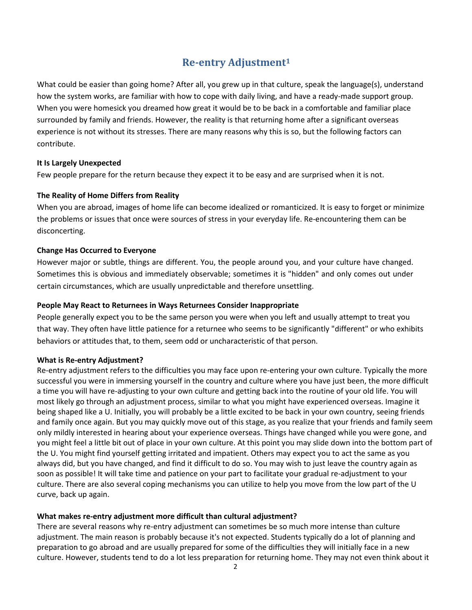# **Re-entry Adjustment1**

What could be easier than going home? After all, you grew up in that culture, speak the language(s), understand how the system works, are familiar with how to cope with daily living, and have a ready-made support group. When you were homesick you dreamed how great it would be to be back in a comfortable and familiar place surrounded by family and friends. However, the reality is that returning home after a significant overseas experience is not without its stresses. There are many reasons why this is so, but the following factors can contribute.

# **It Is Largely Unexpected**

Few people prepare for the return because they expect it to be easy and are surprised when it is not.

# **The Reality of Home Differs from Reality**

When you are abroad, images of home life can become idealized or romanticized. It is easy to forget or minimize the problems or issues that once were sources of stress in your everyday life. Re-encountering them can be disconcerting.

# **Change Has Occurred to Everyone**

However major or subtle, things are different. You, the people around you, and your culture have changed. Sometimes this is obvious and immediately observable; sometimes it is "hidden" and only comes out under certain circumstances, which are usually unpredictable and therefore unsettling.

## **People May React to Returnees in Ways Returnees Consider Inappropriate**

People generally expect you to be the same person you were when you left and usually attempt to treat you that way. They often have little patience for a returnee who seems to be significantly "different" or who exhibits behaviors or attitudes that, to them, seem odd or uncharacteristic of that person.

### **What is Re-entry Adjustment?**

Re-entry adjustment refers to the difficulties you may face upon re-entering your own culture. Typically the more successful you were in immersing yourself in the country and culture where you have just been, the more difficult a time you will have re-adjusting to your own culture and getting back into the routine of your old life. You will most likely go through an adjustment process, similar to what you might have experienced overseas. Imagine it being shaped like a U. Initially, you will probably be a little excited to be back in your own country, seeing friends and family once again. But you may quickly move out of this stage, as you realize that your friends and family seem only mildly interested in hearing about your experience overseas. Things have changed while you were gone, and you might feel a little bit out of place in your own culture. At this point you may slide down into the bottom part of the U. You might find yourself getting irritated and impatient. Others may expect you to act the same as you always did, but you have changed, and find it difficult to do so. You may wish to just leave the country again as soon as possible! It will take time and patience on your part to facilitate your gradual re-adjustment to your culture. There are also several coping mechanisms you can utilize to help you move from the low part of the U curve, back up again.

### **What makes re-entry adjustment more difficult than cultural adjustment?**

There are several reasons why re-entry adjustment can sometimes be so much more intense than culture adjustment. The main reason is probably because it's not expected. Students typically do a lot of planning and preparation to go abroad and are usually prepared for some of the difficulties they will initially face in a new culture. However, students tend to do a lot less preparation for returning home. They may not even think about it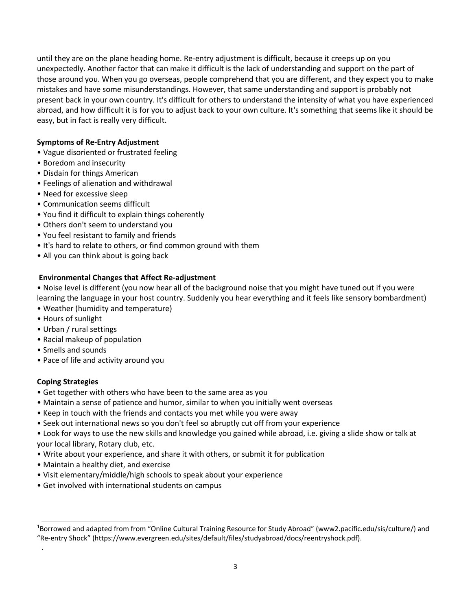until they are on the plane heading home. Re-entry adjustment is difficult, because it creeps up on you unexpectedly. Another factor that can make it difficult is the lack of understanding and support on the part of those around you. When you go overseas, people comprehend that you are different, and they expect you to make mistakes and have some misunderstandings. However, that same understanding and support is probably not present back in your own country. It's difficult for others to understand the intensity of what you have experienced abroad, and how difficult it is for you to adjust back to your own culture. It's something that seems like it should be easy, but in fact is really very difficult.

# **Symptoms of Re-Entry Adjustment**

- Vague disoriented or frustrated feeling
- Boredom and insecurity
- Disdain for things American
- Feelings of alienation and withdrawal
- Need for excessive sleep
- Communication seems difficult
- You find it difficult to explain things coherently
- Others don't seem to understand you
- You feel resistant to family and friends
- It's hard to relate to others, or find common ground with them
- All you can think about is going back

### **Environmental Changes that Affect Re-adjustment**

• Noise level is different (you now hear all of the background noise that you might have tuned out if you were learning the language in your host country. Suddenly you hear everything and it feels like sensory bombardment)

- Weather (humidity and temperature)
- Hours of sunlight
- Urban / rural settings
- Racial makeup of population
- Smells and sounds
- Pace of life and activity around you

### **Coping Strategies**

.

- Get together with others who have been to the same area as you
- Maintain a sense of patience and humor, similar to when you initially went overseas
- Keep in touch with the friends and contacts you met while you were away
- Seek out international news so you don't feel so abruptly cut off from your experience

• Look for ways to use the new skills and knowledge you gained while abroad, i.e. giving a slide show or talk at your local library, Rotary club, etc.

- Write about your experience, and share it with others, or submit it for publication
- Maintain a healthy diet, and exercise
- Visit elementary/middle/high schools to speak about your experience
- Get involved with international students on campus

<sup>1</sup>Borrowed and adapted from from "Online Cultural Training Resource for Study Abroad" (www2.pacific.edu/sis/culture/) and "Re-entry Shock" (https://www.evergreen.edu/sites/default/files/studyabroad/docs/reentryshock.pdf).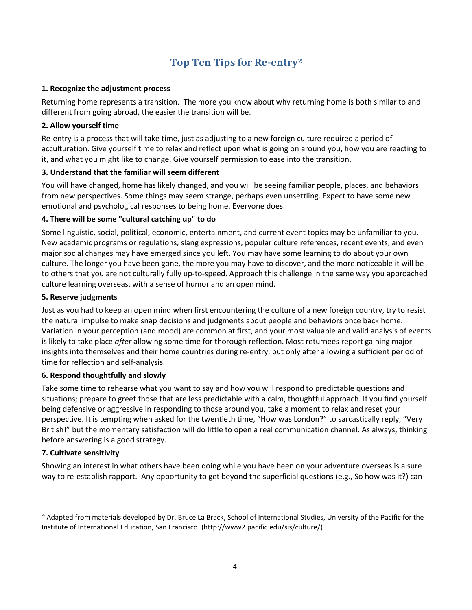# **Top Ten Tips for Re-entry2**

# **1. Recognize the adjustment process**

Returning home represents a transition. The more you know about why returning home is both similar to and different from going abroad, the easier the transition will be.

# **2. Allow yourself time**

Re-entry is a process that will take time, just as adjusting to a new foreign culture required a period of acculturation. Give yourself time to relax and reflect upon what is going on around you, how you are reacting to it, and what you might like to change. Give yourself permission to ease into the transition.

# **3. Understand that the familiar will seem different**

You will have changed, home has likely changed, and you will be seeing familiar people, places, and behaviors from new perspectives. Some things may seem strange, perhaps even unsettling. Expect to have some new emotional and psychological responses to being home. Everyone does.

# **4. There will be some "cultural catching up" to do**

Some linguistic, social, political, economic, entertainment, and current event topics may be unfamiliar to you. New academic programs or regulations, slang expressions, popular culture references, recent events, and even major social changes may have emerged since you left. You may have some learning to do about your own culture. The longer you have been gone, the more you may have to discover, and the more noticeable it will be to others that you are not culturally fully up-to-speed. Approach this challenge in the same way you approached culture learning overseas, with a sense of humor and an open mind.

# **5. Reserve judgments**

Just as you had to keep an open mind when first encountering the culture of a new foreign country, try to resist the natural impulse to make snap decisions and judgments about people and behaviors once back home. Variation in your perception (and mood) are common at first, and your most valuable and valid analysis of events is likely to take place *after* allowing some time for thorough reflection. Most returnees report gaining major insights into themselves and their home countries during re-entry, but only after allowing a sufficient period of time for reflection and self-analysis.

### **6. Respond thoughtfully and slowly**

Take some time to rehearse what you want to say and how you will respond to predictable questions and situations; prepare to greet those that are less predictable with a calm, thoughtful approach. If you find yourself being defensive or aggressive in responding to those around you, take a moment to relax and reset your perspective. It is tempting when asked for the twentieth time, "How was London?" to sarcastically reply, "Very British!" but the momentary satisfaction will do little to open a real communication channel. As always, thinking before answering is a good strategy.

# **7. Cultivate sensitivity**

Showing an interest in what others have been doing while you have been on your adventure overseas is a sure way to re-establish rapport. Any opportunity to get beyond the superficial questions (e.g., So how was it?) can

 $2$  Adapted from materials developed by Dr. Bruce La Brack, School of International Studies, University of the Pacific for the Institute of International Education, San Francisco[. \(http://www2.pacific.edu/sis/culture/\)](http://www2.pacific.edu/sis/culture/))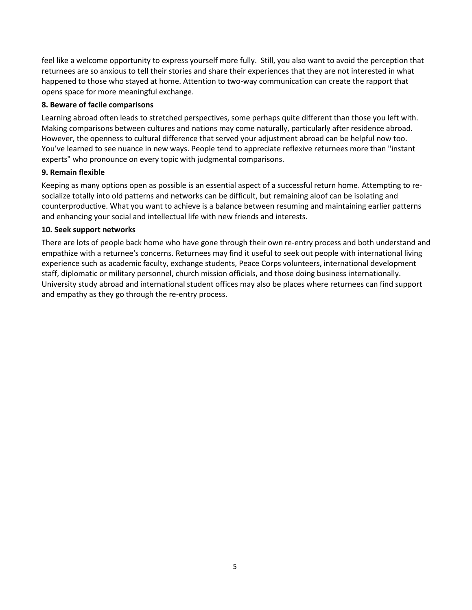feel like a welcome opportunity to express yourself more fully. Still, you also want to avoid the perception that returnees are so anxious to tell their stories and share their experiences that they are not interested in what happened to those who stayed at home. Attention to two-way communication can create the rapport that opens space for more meaningful exchange.

### **8. Beware of facile comparisons**

Learning abroad often leads to stretched perspectives, some perhaps quite different than those you left with. Making comparisons between cultures and nations may come naturally, particularly after residence abroad. However, the openness to cultural difference that served your adjustment abroad can be helpful now too. You've learned to see nuance in new ways. People tend to appreciate reflexive returnees more than "instant experts" who pronounce on every topic with judgmental comparisons.

# **9. Remain flexible**

Keeping as many options open as possible is an essential aspect of a successful return home. Attempting to resocialize totally into old patterns and networks can be difficult, but remaining aloof can be isolating and counterproductive. What you want to achieve is a balance between resuming and maintaining earlier patterns and enhancing your social and intellectual life with new friends and interests.

# **10. Seek support networks**

There are lots of people back home who have gone through their own re-entry process and both understand and empathize with a returnee's concerns. Returnees may find it useful to seek out people with international living experience such as academic faculty, exchange students, Peace Corps volunteers, international development staff, diplomatic or military personnel, church mission officials, and those doing business internationally. University study abroad and international student offices may also be places where returnees can find support and empathy as they go through the re-entry process.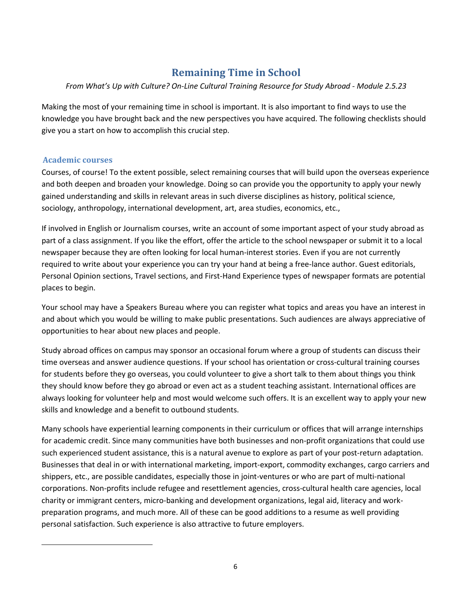# **Remaining Time in School**

# *From What's Up with Culture? On-Line Cultural Training Resource for Study Abroad - Module 2.5.23*

Making the most of your remaining time in school is important. It is also important to find ways to use the knowledge you have brought back and the new perspectives you have acquired. The following checklists should give you a start on how to accomplish this crucial step.

# **Academic courses**

Courses, of course! To the extent possible, select remaining courses that will build upon the overseas experience and both deepen and broaden your knowledge. Doing so can provide you the opportunity to apply your newly gained understanding and skills in relevant areas in such diverse disciplines as history, political science, sociology, anthropology, international development, art, area studies, economics, etc.,

If involved in English or Journalism courses, write an account of some important aspect of your study abroad as part of a class assignment. If you like the effort, offer the article to the school newspaper or submit it to a local newspaper because they are often looking for local human-interest stories. Even if you are not currently required to write about your experience you can try your hand at being a free-lance author. Guest editorials, Personal Opinion sections, Travel sections, and First-Hand Experience types of newspaper formats are potential places to begin.

Your school may have a Speakers Bureau where you can register what topics and areas you have an interest in and about which you would be willing to make public presentations. Such audiences are always appreciative of opportunities to hear about new places and people.

Study abroad offices on campus may sponsor an occasional forum where a group of students can discuss their time overseas and answer audience questions. If your school has orientation or cross-cultural training courses for students before they go overseas, you could volunteer to give a short talk to them about things you think they should know before they go abroad or even act as a student teaching assistant. International offices are always looking for volunteer help and most would welcome such offers. It is an excellent way to apply your new skills and knowledge and a benefit to outbound students.

Many schools have experiential learning components in their curriculum or offices that will arrange internships for academic credit. Since many communities have both businesses and non-profit organizations that could use such experienced student assistance, this is a natural avenue to explore as part of your post-return adaptation. Businesses that deal in or with international marketing, import-export, commodity exchanges, cargo carriers and shippers, etc., are possible candidates, especially those in joint-ventures or who are part of multi-national corporations. Non-profits include refugee and resettlement agencies, cross-cultural health care agencies, local charity or immigrant centers, micro-banking and development organizations, legal aid, literacy and workpreparation programs, and much more. All of these can be good additions to a resume as well providing personal satisfaction. Such experience is also attractive to future employers.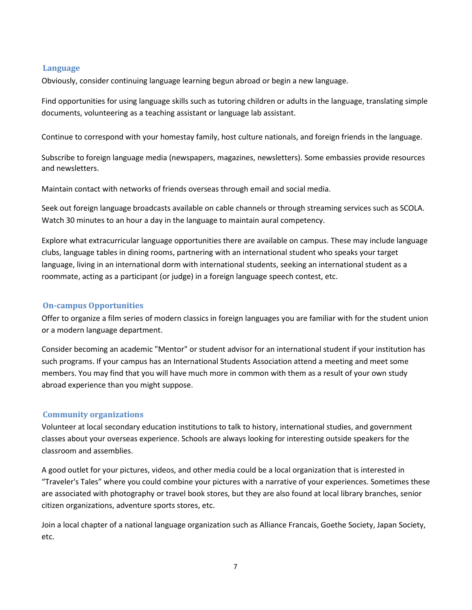### **Language**

Obviously, consider continuing language learning begun abroad or begin a new language.

Find opportunities for using language skills such as tutoring children or adults in the language, translating simple documents, volunteering as a teaching assistant or language lab assistant.

Continue to correspond with your homestay family, host culture nationals, and foreign friends in the language.

Subscribe to foreign language media (newspapers, magazines, newsletters). Some embassies provide resources and newsletters.

Maintain contact with networks of friends overseas through email and social media.

Seek out foreign language broadcasts available on cable channels or through streaming services such as SCOLA. Watch 30 minutes to an hour a day in the language to maintain aural competency.

Explore what extracurricular language opportunities there are available on campus. These may include language clubs, language tables in dining rooms, partnering with an international student who speaks your target language, living in an international dorm with international students, seeking an international student as a roommate, acting as a participant (or judge) in a foreign language speech contest, etc.

# **On-campus Opportunities**

Offer to organize a film series of modern classics in foreign languages you are familiar with for the student union or a modern language department.

Consider becoming an academic "Mentor" or student advisor for an international student if your institution has such programs. If your campus has an International Students Association attend a meeting and meet some members. You may find that you will have much more in common with them as a result of your own study abroad experience than you might suppose.

# **Community organizations**

Volunteer at local secondary education institutions to talk to history, international studies, and government classes about your overseas experience. Schools are always looking for interesting outside speakers for the classroom and assemblies.

A good outlet for your pictures, videos, and other media could be a local organization that is interested in "Traveler's Tales" where you could combine your pictures with a narrative of your experiences. Sometimes these are associated with photography or travel book stores, but they are also found at local library branches, senior citizen organizations, adventure sports stores, etc.

Join a local chapter of a national language organization such as Alliance Francais, Goethe Society, Japan Society, etc.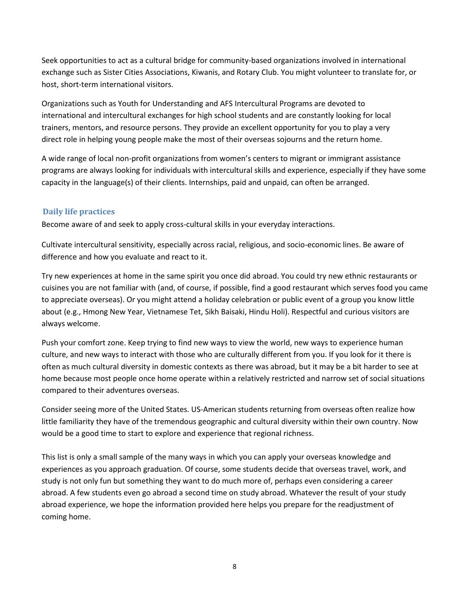Seek opportunities to act as a cultural bridge for community-based organizations involved in international exchange such as Sister Cities Associations, Kiwanis, and Rotary Club. You might volunteer to translate for, or host, short-term international visitors.

Organizations such as Youth for Understanding and AFS Intercultural Programs are devoted to international and intercultural exchanges for high school students and are constantly looking for local trainers, mentors, and resource persons. They provide an excellent opportunity for you to play a very direct role in helping young people make the most of their overseas sojourns and the return home.

A wide range of local non-profit organizations from women's centers to migrant or immigrant assistance programs are always looking for individuals with intercultural skills and experience, especially if they have some capacity in the language(s) of their clients. Internships, paid and unpaid, can often be arranged.

# **Daily life practices**

Become aware of and seek to apply cross-cultural skills in your everyday interactions.

Cultivate intercultural sensitivity, especially across racial, religious, and socio-economic lines. Be aware of difference and how you evaluate and react to it.

Try new experiences at home in the same spirit you once did abroad. You could try new ethnic restaurants or cuisines you are not familiar with (and, of course, if possible, find a good restaurant which serves food you came to appreciate overseas). Or you might attend a holiday celebration or public event of a group you know little about (e.g., Hmong New Year, Vietnamese Tet, Sikh Baisaki, Hindu Holi). Respectful and curious visitors are always welcome.

Push your comfort zone. Keep trying to find new ways to view the world, new ways to experience human culture, and new ways to interact with those who are culturally different from you. If you look for it there is often as much cultural diversity in domestic contexts as there was abroad, but it may be a bit harder to see at home because most people once home operate within a relatively restricted and narrow set of social situations compared to their adventures overseas.

Consider seeing more of the United States. US-American students returning from overseas often realize how little familiarity they have of the tremendous geographic and cultural diversity within their own country. Now would be a good time to start to explore and experience that regional richness.

This list is only a small sample of the many ways in which you can apply your overseas knowledge and experiences as you approach graduation. Of course, some students decide that overseas travel, work, and study is not only fun but something they want to do much more of, perhaps even considering a career abroad. A few students even go abroad a second time on study abroad. Whatever the result of your study abroad experience, we hope the information provided here helps you prepare for the readjustment of coming home.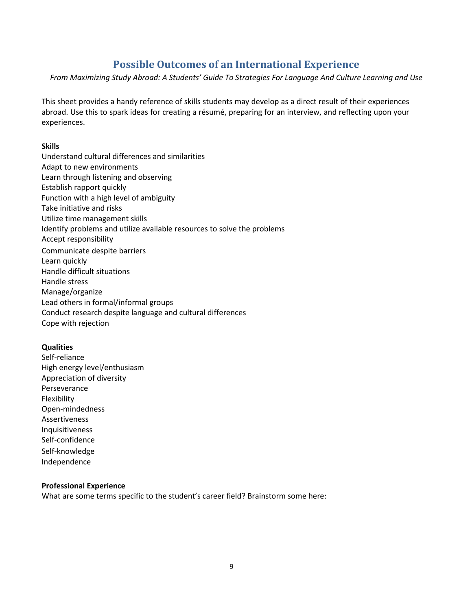# **Possible Outcomes of an International Experience**

*From Maximizing Study Abroad: A Students' Guide To Strategies For Language And Culture Learning and Use*

This sheet provides a handy reference of skills students may develop as a direct result of their experiences abroad. Use this to spark ideas for creating a résumé, preparing for an interview, and reflecting upon your experiences.

#### **Skills**

Understand cultural differences and similarities Adapt to new environments Learn through listening and observing Establish rapport quickly Function with a high level of ambiguity Take initiative and risks Utilize time management skills Identify problems and utilize available resources to solve the problems Accept responsibility Communicate despite barriers Learn quickly Handle difficult situations Handle stress Manage/organize Lead others in formal/informal groups Conduct research despite language and cultural differences Cope with rejection

### **Qualities**

Self-reliance High energy level/enthusiasm Appreciation of diversity Perseverance Flexibility Open-mindedness Assertiveness Inquisitiveness Self-confidence Self-knowledge Independence

#### **Professional Experience**

What are some terms specific to the student's career field? Brainstorm some here: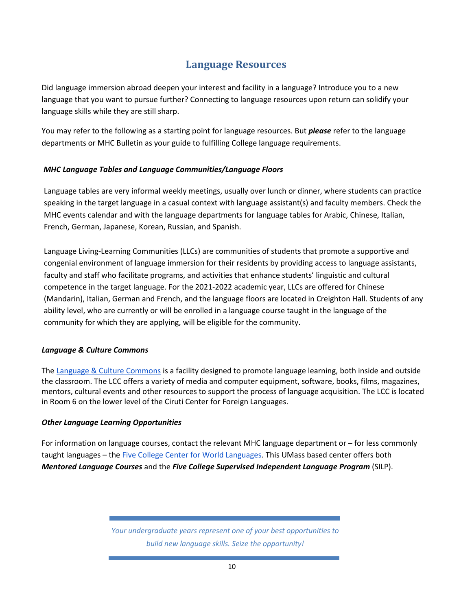# **Language Resources**

Did language immersion abroad deepen your interest and facility in a language? Introduce you to a new language that you want to pursue further? Connecting to language resources upon return can solidify your language skills while they are still sharp.

You may refer to the following as a starting point for language resources. But *please* refer to the language departments or MHC Bulletin as your guide to fulfilling College language requirements.

# *MHC Language Tables and Language Communities/Language Floors*

Language tables are very informal weekly meetings, usually over lunch or dinner, where students can practice speaking in the target language in a casual context with language assistant(s) and faculty members. Check the MHC events calendar and with the language departments for language tables for Arabic, Chinese, Italian, French, German, Japanese, Korean, Russian, and Spanish.

Language Living-Learning Communities (LLCs) are communities of students that promote a supportive and congenial environment of language immersion for their residents by providing access to language assistants, faculty and staff who facilitate programs, and activities that enhance students' linguistic and cultural competence in the target language. For the 2021-2022 academic year, LLCs are offered for Chinese (Mandarin), Italian, German and French, and the language floors are located in Creighton Hall. Students of any ability level, who are currently or will be enrolled in a language course taught in the language of the community for which they are applying, will be eligible for the community.

# *Language & Culture Commons*

The [Language & Culture Commons](https://www.mtholyoke.edu/lrc) is a facility designed to promote language learning, both inside and outside the classroom. The LCC offers a variety of media and computer equipment, software, books, films, magazines, mentors, cultural events and other resources to support the process of language acquisition. The LCC is located in Room 6 on the lower level of the Ciruti Center for Foreign Languages.

# *Other Language Learning Opportunities*

For information on language courses, contact the relevant MHC language department or – for less commonly taught languages – th[e Five College Center for World Languages.](https://www.fivecolleges.edu/languages) This UMass based center offers both *Mentored Language Courses* and the *Five College Supervised Independent Language Program* (SILP).

> *Your undergraduate years represent one of your best opportunities to build new language skills. Seize the opportunity!*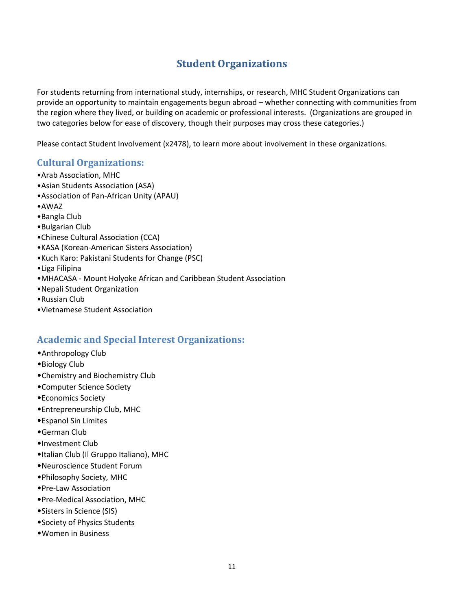# **Student Organizations**

For students returning from international study, internships, or research, MHC Student Organizations can provide an opportunity to maintain engagements begun abroad – whether connecting with communities from the region where they lived, or building on academic or professional interests. (Organizations are grouped in two categories below for ease of discovery, though their purposes may cross these categories.)

Please contact Student Involvement (x2478), to learn more about involvement in these organizations.

# **Cultural Organizations:**

- •Arab Association, MHC
- •Asian Students Association (ASA)
- •Association of Pan-African Unity (APAU)
- •AWAZ
- •Bangla Club
- •Bulgarian Club
- •Chinese Cultural Association (CCA)
- •KASA (Korean-American Sisters Association)
- •Kuch Karo: Pakistani Students for Change (PSC)
- •Liga Filipina
- •MHACASA Mount Holyoke African and Caribbean Student Association
- •Nepali Student Organization
- •Russian Club
- •Vietnamese Student Association

# **Academic and Special Interest Organizations:**

- •Anthropology Club
- •Biology Club
- •Chemistry and Biochemistry Club
- •Computer Science Society
- •Economics Society
- •Entrepreneurship Club, MHC
- •Espanol Sin Limites
- •German Club
- •Investment Club
- •Italian Club (Il Gruppo Italiano), MHC
- •Neuroscience Student Forum
- •Philosophy Society, MHC
- •Pre-Law Association
- •Pre-Medical Association, MHC
- •Sisters in Science (SIS)
- •Society of Physics Students
- •Women in Business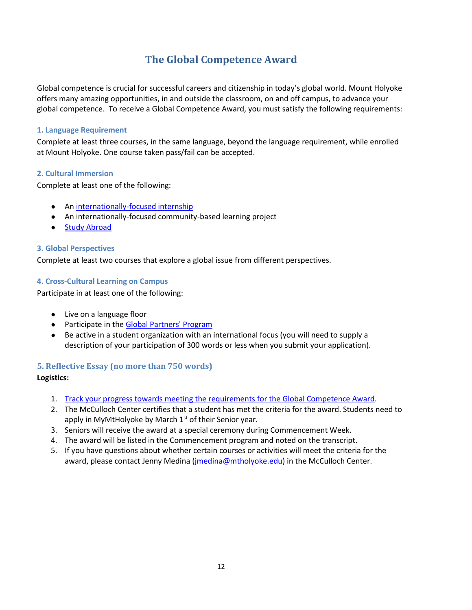# **The Global Competence Award**

Global competence is crucial for successful careers and citizenship in today's global world. Mount Holyoke offers many amazing opportunities, in and outside the classroom, on and off campus, to advance your global competence. To receive a Global Competence Award, you must satisfy the following requirements:

#### **1. Language Requirement**

Complete at least three courses, in the same language, beyond the language requirement, while enrolled at Mount Holyoke. One course taken pass/fail can be accepted.

#### **2. Cultural Immersion**

Complete at least one of the following:

- A[n internationally-focused internship](https://www.mtholyoke.edu/global/internships)
- An internationally-focused community-based learning project
- [Study Abroad](https://www.mtholyoke.edu/global/study_abroad)

#### **3. Global Perspectives**

Complete at least two courses that explore a global issue from different perspectives.

#### **4. Cross-Cultural Learning on Campus**

Participate in at least one of the following:

- Live on a language floor
- Participate in the [Global Partners' Program](https://www.mtholyoke.edu/global/internationalstudents/global-partners-program)
- Be active in a student organization with an international focus (you will need to supply a description of your participation of 300 words or less when you submit your application).

### **5. Reflective Essay (no more than 750 words)**

#### **Logistics:**

- 1. [Track your progress towards meeting the requirements for the Global Competence Award.](https://www.mtholyoke.edu/sites/default/files/global/docs/gcatest.docx_DCV_edits.pdf)
- 2. The McCulloch Center certifies that a student has met the criteria for the award. Students need to apply in MyMtHolyoke by March  $1<sup>st</sup>$  of their Senior year.
- 3. Seniors will receive the award at a special ceremony during Commencement Week.
- 4. The award will be listed in the Commencement program and noted on the transcript.
- 5. If you have questions about whether certain courses or activities will meet the criteria for the award, please contact Jenny Medina [\(jmedina@mtholyoke.edu\)](mailto:jmedina@mtholyoke.edu) in the McCulloch Center.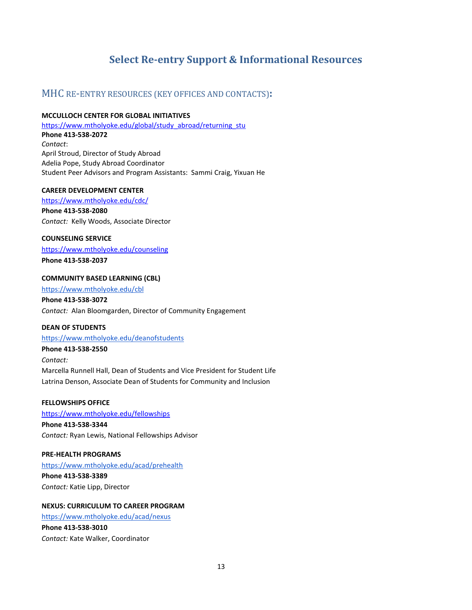# **Select Re-entry Support & Informational Resources**

# MHC RE-ENTRY RESOURCES (KEY OFFICES AND CONTACTS)**:**

#### **MCCULLOCH CENTER FOR GLOBAL INITIATIVES**

[https://www.mtholyoke.edu/global/study\\_abroad/returning\\_stu](https://www.mtholyoke.edu/global/study_abroad/returning_stu)

**Phone 413-538-2072** *Contact*:

April Stroud, Director of Study Abroad Adelia Pope, Study Abroad Coordinator Student Peer Advisors and Program Assistants: Sammi Craig, Yixuan He

#### **CAREER DEVELOPMENT CENTER**

<https://www.mtholyoke.edu/cdc/> **Phone 413-538-2080** *Contact:* Kelly Woods, Associate Director

# **COUNSELING SERVICE**

<https://www.mtholyoke.edu/counseling>

**Phone 413-538-2037**

#### **COMMUNITY BASED LEARNING (CBL)**

<https://www.mtholyoke.edu/cbl> **Phone 413-538-3072** *Contact:* Alan Bloomgarden, Director of Community Engagement

#### **DEAN OF STUDENTS**

<https://www.mtholyoke.edu/deanofstudents>

# **Phone 413-538-2550**

*Contact:* Marcella Runnell Hall, Dean of Students and Vice President for Student Life Latrina Denson, Associate Dean of Students for Community and Inclusion

#### **FELLOWSHIPS OFFICE**

<https://www.mtholyoke.edu/fellowships>

### **Phone 413-538-3344**

*Contact:* Ryan Lewis, National Fellowships Advisor

### **PRE-HEALTH PROGRAMS**

<https://www.mtholyoke.edu/acad/prehealth> **Phone 413-538-3389** *Contact:* Katie Lipp, Director

## **NEXUS: CURRICULUM TO CAREER PROGRAM**

<https://www.mtholyoke.edu/acad/nexus> **Phone 413-538-3010**